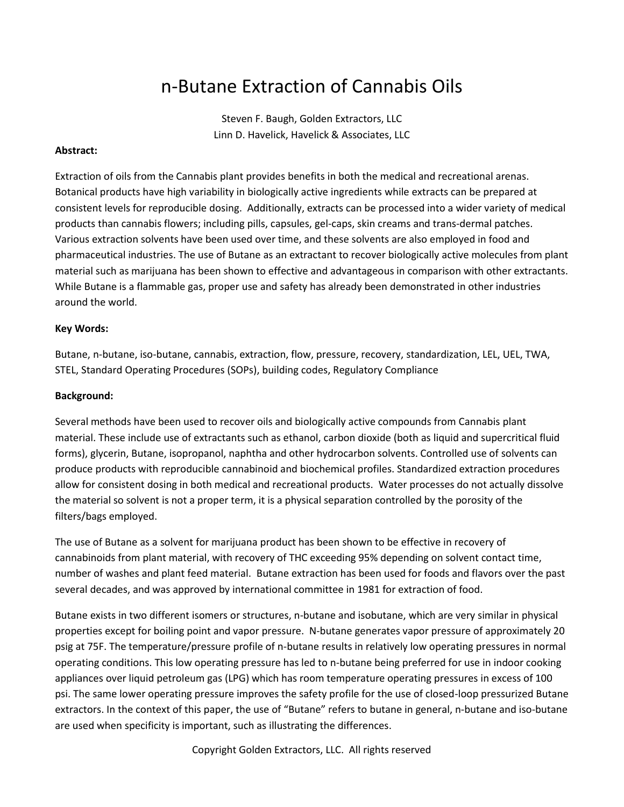# n-Butane Extraction of Cannabis Oils

Steven F. Baugh, Golden Extractors, LLC Linn D. Havelick, Havelick & Associates, LLC

# **Abstract:**

Extraction of oils from the Cannabis plant provides benefits in both the medical and recreational arenas. Botanical products have high variability in biologically active ingredients while extracts can be prepared at consistent levels for reproducible dosing. Additionally, extracts can be processed into a wider variety of medical products than cannabis flowers; including pills, capsules, gel-caps, skin creams and trans-dermal patches. Various extraction solvents have been used over time, and these solvents are also employed in food and pharmaceutical industries. The use of Butane as an extractant to recover biologically active molecules from plant material such as marijuana has been shown to effective and advantageous in comparison with other extractants. While Butane is a flammable gas, proper use and safety has already been demonstrated in other industries around the world.

#### **Key Words:**

Butane, n-butane, iso-butane, cannabis, extraction, flow, pressure, recovery, standardization, LEL, UEL, TWA, STEL, Standard Operating Procedures (SOPs), building codes, Regulatory Compliance

#### **Background:**

Several methods have been used to recover oils and biologically active compounds from Cannabis plant material. These include use of extractants such as ethanol, carbon dioxide (both as liquid and supercritical fluid forms), glycerin, Butane, isopropanol, naphtha and other hydrocarbon solvents. Controlled use of solvents can produce products with reproducible cannabinoid and biochemical profiles. Standardized extraction procedures allow for consistent dosing in both medical and recreational products. Water processes do not actually dissolve the material so solvent is not a proper term, it is a physical separation controlled by the porosity of the filters/bags employed.

The use of Butane as a solvent for marijuana product has been shown to be effective in recovery of cannabinoids from plant material, with recovery of THC exceeding 95% depending on solvent contact time, number of washes and plant feed material. Butane extraction has been used for foods and flavors over the past several decades, and was approved by international committee in 1981 for extraction of food.

Butane exists in two different isomers or structures, n-butane and isobutane, which are very similar in physical properties except for boiling point and vapor pressure. N-butane generates vapor pressure of approximately 20 psig at 75F. The temperature/pressure profile of n-butane results in relatively low operating pressures in normal operating conditions. This low operating pressure has led to n-butane being preferred for use in indoor cooking appliances over liquid petroleum gas (LPG) which has room temperature operating pressures in excess of 100 psi. The same lower operating pressure improves the safety profile for the use of closed-loop pressurized Butane extractors. In the context of this paper, the use of "Butane" refers to butane in general, n-butane and iso-butane are used when specificity is important, such as illustrating the differences.

Copyright Golden Extractors, LLC. All rights reserved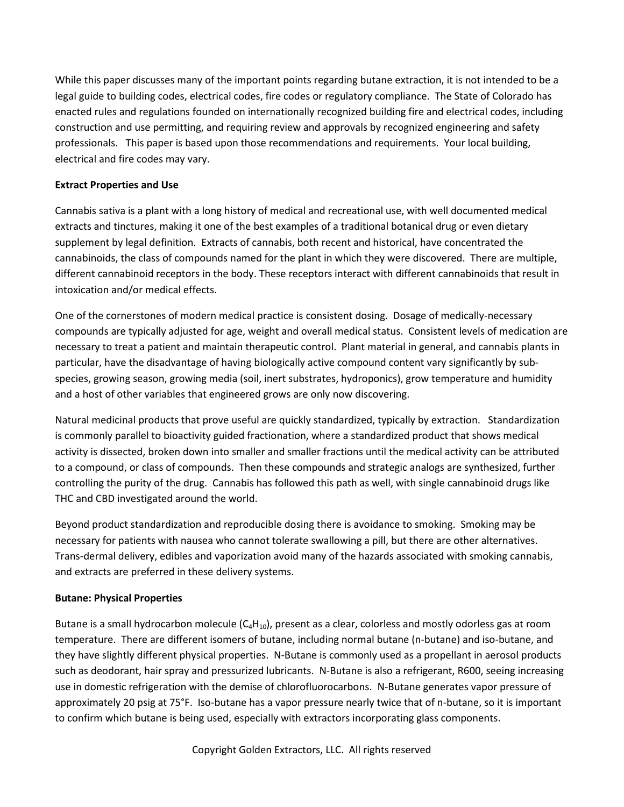While this paper discusses many of the important points regarding butane extraction, it is not intended to be a legal guide to building codes, electrical codes, fire codes or regulatory compliance. The State of Colorado has enacted rules and regulations founded on internationally recognized building fire and electrical codes, including construction and use permitting, and requiring review and approvals by recognized engineering and safety professionals. This paper is based upon those recommendations and requirements. Your local building, electrical and fire codes may vary.

# **Extract Properties and Use**

Cannabis sativa is a plant with a long history of medical and recreational use, with well documented medical extracts and tinctures, making it one of the best examples of a traditional botanical drug or even dietary supplement by legal definition. Extracts of cannabis, both recent and historical, have concentrated the cannabinoids, the class of compounds named for the plant in which they were discovered. There are multiple, different cannabinoid receptors in the body. These receptors interact with different cannabinoids that result in intoxication and/or medical effects.

One of the cornerstones of modern medical practice is consistent dosing. Dosage of medically-necessary compounds are typically adjusted for age, weight and overall medical status. Consistent levels of medication are necessary to treat a patient and maintain therapeutic control. Plant material in general, and cannabis plants in particular, have the disadvantage of having biologically active compound content vary significantly by subspecies, growing season, growing media (soil, inert substrates, hydroponics), grow temperature and humidity and a host of other variables that engineered grows are only now discovering.

Natural medicinal products that prove useful are quickly standardized, typically by extraction. Standardization is commonly parallel to bioactivity guided fractionation, where a standardized product that shows medical activity is dissected, broken down into smaller and smaller fractions until the medical activity can be attributed to a compound, or class of compounds. Then these compounds and strategic analogs are synthesized, further controlling the purity of the drug. Cannabis has followed this path as well, with single cannabinoid drugs like THC and CBD investigated around the world.

Beyond product standardization and reproducible dosing there is avoidance to smoking. Smoking may be necessary for patients with nausea who cannot tolerate swallowing a pill, but there are other alternatives. Trans-dermal delivery, edibles and vaporization avoid many of the hazards associated with smoking cannabis, and extracts are preferred in these delivery systems.

# **Butane: Physical Properties**

Butane is a small hydrocarbon molecule  $(C_4H_{10})$ , present as a clear, colorless and mostly odorless gas at room temperature. There are different isomers of butane, including normal butane (n-butane) and iso-butane, and they have slightly different physical properties. N-Butane is commonly used as a propellant in aerosol products such as deodorant, hair spray and pressurized lubricants. N-Butane is also a refrigerant, R600, seeing increasing use in domestic refrigeration with the demise of chlorofluorocarbons. N-Butane generates vapor pressure of approximately 20 psig at 75°F. Iso-butane has a vapor pressure nearly twice that of n-butane, so it is important to confirm which butane is being used, especially with extractors incorporating glass components.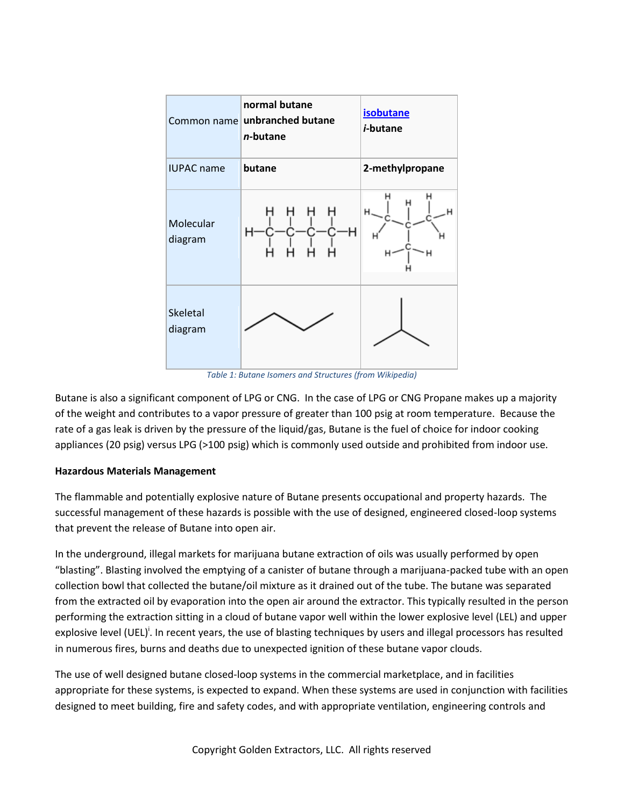

*Table 1: Butane Isomers and Structures (from Wikipedia)*

Butane is also a significant component of LPG or CNG. In the case of LPG or CNG Propane makes up a majority of the weight and contributes to a vapor pressure of greater than 100 psig at room temperature. Because the rate of a gas leak is driven by the pressure of the liquid/gas, Butane is the fuel of choice for indoor cooking appliances (20 psig) versus LPG (>100 psig) which is commonly used outside and prohibited from indoor use.

# **Hazardous Materials Management**

The flammable and potentially explosive nature of Butane presents occupational and property hazards. The successful management of these hazards is possible with the use of designed, engineered closed-loop systems that prevent the release of Butane into open air.

In the underground, illegal markets for marijuana butane extraction of oils was usually performed by open "blasting". Blasting involved the emptying of a canister of butane through a marijuana-packed tube with an open collection bowl that collected the butane/oil mixture as it drained out of the tube. The butane was separated from the extracted oil by evaporation into the open air around the extractor. This typically resulted in the person performing the extraction sitting in a cloud of butane vapor well within the lower explosive level (LEL) and upper explosive level (UEL)<sup>i</sup>. In recent years, the use of blasting techniques by users and illegal processors has resulted in numerous fires, burns and deaths due to unexpected ignition of these butane vapor clouds.

The use of well designed butane closed-loop systems in the commercial marketplace, and in facilities appropriate for these systems, is expected to expand. When these systems are used in conjunction with facilities designed to meet building, fire and safety codes, and with appropriate ventilation, engineering controls and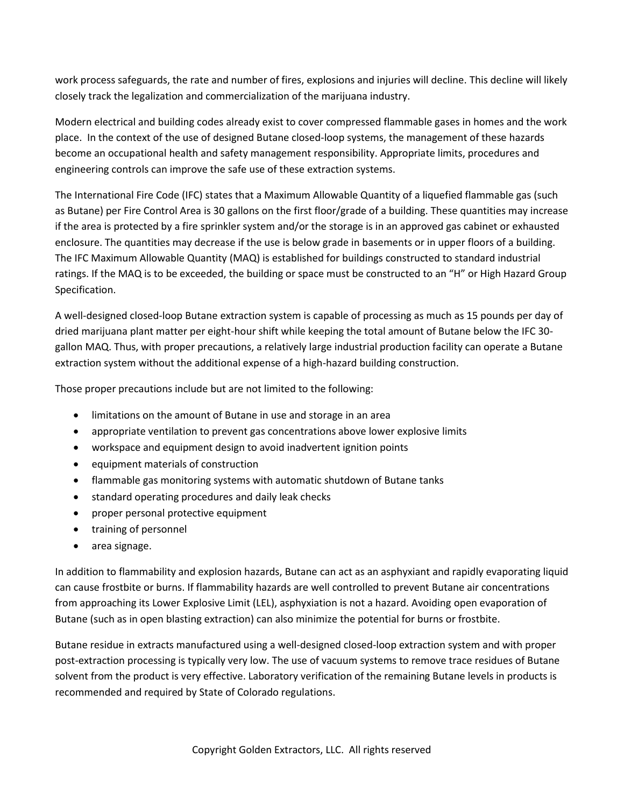work process safeguards, the rate and number of fires, explosions and injuries will decline. This decline will likely closely track the legalization and commercialization of the marijuana industry.

Modern electrical and building codes already exist to cover compressed flammable gases in homes and the work place. In the context of the use of designed Butane closed-loop systems, the management of these hazards become an occupational health and safety management responsibility. Appropriate limits, procedures and engineering controls can improve the safe use of these extraction systems.

The International Fire Code (IFC) states that a Maximum Allowable Quantity of a liquefied flammable gas (such as Butane) per Fire Control Area is 30 gallons on the first floor/grade of a building. These quantities may increase if the area is protected by a fire sprinkler system and/or the storage is in an approved gas cabinet or exhausted enclosure. The quantities may decrease if the use is below grade in basements or in upper floors of a building. The IFC Maximum Allowable Quantity (MAQ) is established for buildings constructed to standard industrial ratings. If the MAQ is to be exceeded, the building or space must be constructed to an "H" or High Hazard Group Specification.

A well-designed closed-loop Butane extraction system is capable of processing as much as 15 pounds per day of dried marijuana plant matter per eight-hour shift while keeping the total amount of Butane below the IFC 30 gallon MAQ. Thus, with proper precautions, a relatively large industrial production facility can operate a Butane extraction system without the additional expense of a high-hazard building construction.

Those proper precautions include but are not limited to the following:

- limitations on the amount of Butane in use and storage in an area
- appropriate ventilation to prevent gas concentrations above lower explosive limits
- workspace and equipment design to avoid inadvertent ignition points
- equipment materials of construction
- flammable gas monitoring systems with automatic shutdown of Butane tanks
- standard operating procedures and daily leak checks
- proper personal protective equipment
- training of personnel
- area signage.

In addition to flammability and explosion hazards, Butane can act as an asphyxiant and rapidly evaporating liquid can cause frostbite or burns. If flammability hazards are well controlled to prevent Butane air concentrations from approaching its Lower Explosive Limit (LEL), asphyxiation is not a hazard. Avoiding open evaporation of Butane (such as in open blasting extraction) can also minimize the potential for burns or frostbite.

Butane residue in extracts manufactured using a well-designed closed-loop extraction system and with proper post-extraction processing is typically very low. The use of vacuum systems to remove trace residues of Butane solvent from the product is very effective. Laboratory verification of the remaining Butane levels in products is recommended and required by State of Colorado regulations.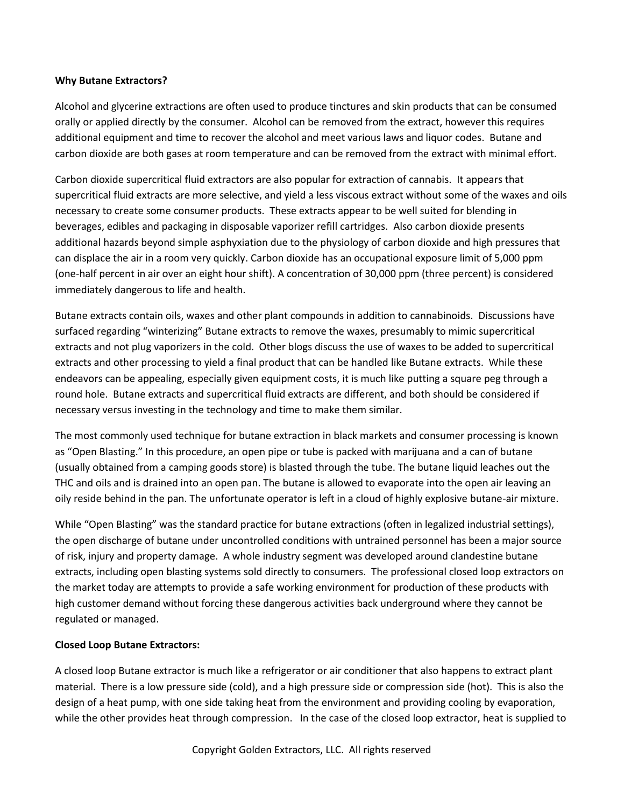# **Why Butane Extractors?**

Alcohol and glycerine extractions are often used to produce tinctures and skin products that can be consumed orally or applied directly by the consumer. Alcohol can be removed from the extract, however this requires additional equipment and time to recover the alcohol and meet various laws and liquor codes. Butane and carbon dioxide are both gases at room temperature and can be removed from the extract with minimal effort.

Carbon dioxide supercritical fluid extractors are also popular for extraction of cannabis. It appears that supercritical fluid extracts are more selective, and yield a less viscous extract without some of the waxes and oils necessary to create some consumer products. These extracts appear to be well suited for blending in beverages, edibles and packaging in disposable vaporizer refill cartridges. Also carbon dioxide presents additional hazards beyond simple asphyxiation due to the physiology of carbon dioxide and high pressures that can displace the air in a room very quickly. Carbon dioxide has an occupational exposure limit of 5,000 ppm (one-half percent in air over an eight hour shift). A concentration of 30,000 ppm (three percent) is considered immediately dangerous to life and health.

Butane extracts contain oils, waxes and other plant compounds in addition to cannabinoids. Discussions have surfaced regarding "winterizing" Butane extracts to remove the waxes, presumably to mimic supercritical extracts and not plug vaporizers in the cold. Other blogs discuss the use of waxes to be added to supercritical extracts and other processing to yield a final product that can be handled like Butane extracts. While these endeavors can be appealing, especially given equipment costs, it is much like putting a square peg through a round hole. Butane extracts and supercritical fluid extracts are different, and both should be considered if necessary versus investing in the technology and time to make them similar.

The most commonly used technique for butane extraction in black markets and consumer processing is known as "Open Blasting." In this procedure, an open pipe or tube is packed with marijuana and a can of butane (usually obtained from a camping goods store) is blasted through the tube. The butane liquid leaches out the THC and oils and is drained into an open pan. The butane is allowed to evaporate into the open air leaving an oily reside behind in the pan. The unfortunate operator is left in a cloud of highly explosive butane-air mixture.

While "Open Blasting" was the standard practice for butane extractions (often in legalized industrial settings), the open discharge of butane under uncontrolled conditions with untrained personnel has been a major source of risk, injury and property damage. A whole industry segment was developed around clandestine butane extracts, including open blasting systems sold directly to consumers. The professional closed loop extractors on the market today are attempts to provide a safe working environment for production of these products with high customer demand without forcing these dangerous activities back underground where they cannot be regulated or managed.

# **Closed Loop Butane Extractors:**

A closed loop Butane extractor is much like a refrigerator or air conditioner that also happens to extract plant material. There is a low pressure side (cold), and a high pressure side or compression side (hot). This is also the design of a heat pump, with one side taking heat from the environment and providing cooling by evaporation, while the other provides heat through compression. In the case of the closed loop extractor, heat is supplied to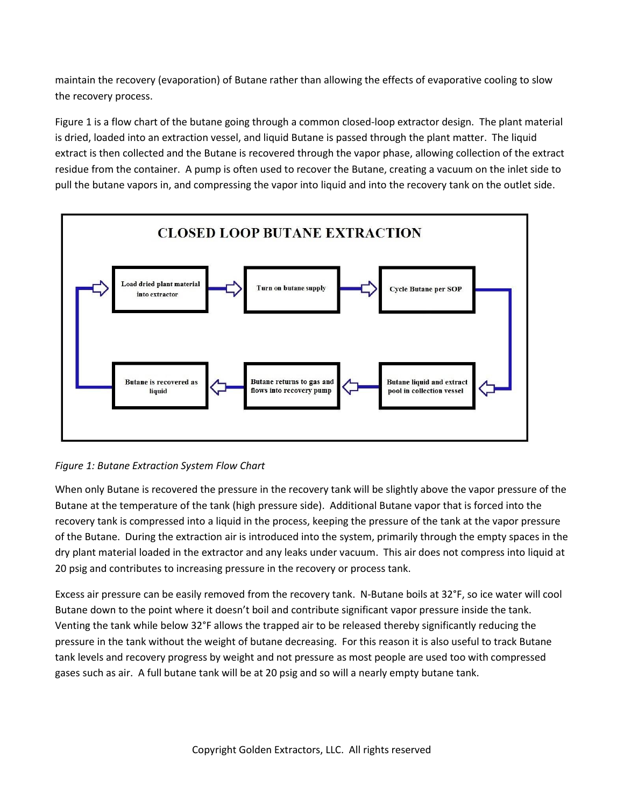maintain the recovery (evaporation) of Butane rather than allowing the effects of evaporative cooling to slow the recovery process.

Figure 1 is a flow chart of the butane going through a common closed-loop extractor design. The plant material is dried, loaded into an extraction vessel, and liquid Butane is passed through the plant matter. The liquid extract is then collected and the Butane is recovered through the vapor phase, allowing collection of the extract residue from the container. A pump is often used to recover the Butane, creating a vacuum on the inlet side to pull the butane vapors in, and compressing the vapor into liquid and into the recovery tank on the outlet side.





When only Butane is recovered the pressure in the recovery tank will be slightly above the vapor pressure of the Butane at the temperature of the tank (high pressure side). Additional Butane vapor that is forced into the recovery tank is compressed into a liquid in the process, keeping the pressure of the tank at the vapor pressure of the Butane. During the extraction air is introduced into the system, primarily through the empty spaces in the dry plant material loaded in the extractor and any leaks under vacuum. This air does not compress into liquid at 20 psig and contributes to increasing pressure in the recovery or process tank.

Excess air pressure can be easily removed from the recovery tank. N-Butane boils at 32°F, so ice water will cool Butane down to the point where it doesn't boil and contribute significant vapor pressure inside the tank. Venting the tank while below 32°F allows the trapped air to be released thereby significantly reducing the pressure in the tank without the weight of butane decreasing. For this reason it is also useful to track Butane tank levels and recovery progress by weight and not pressure as most people are used too with compressed gases such as air. A full butane tank will be at 20 psig and so will a nearly empty butane tank.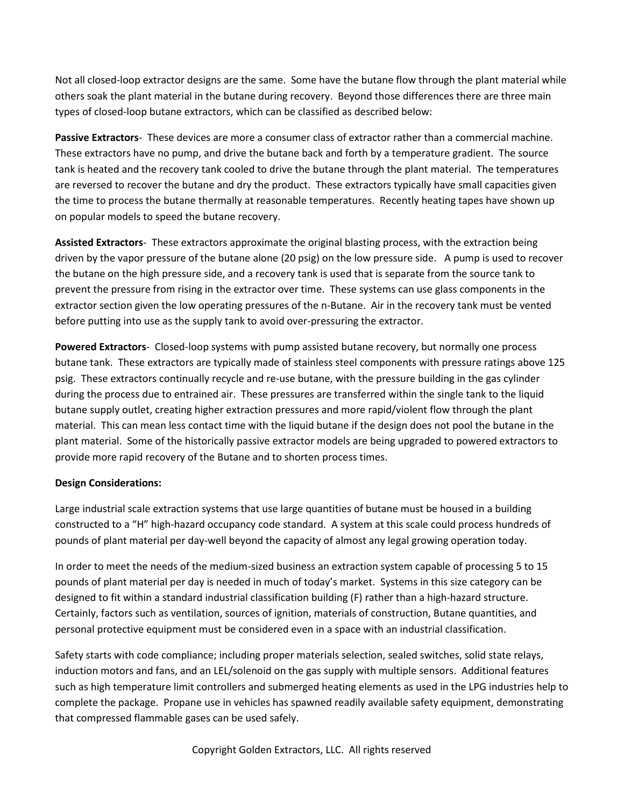Not all closed-loop extractor designs are the same. Some have the butane flow through the plant material while others soak the plant material in the butane during recovery. Beyond those differences there are three main types of closed-loop butane extractors, which can be classified as described below:

**Passive Extractors**- These devices are more a consumer class of extractor rather than a commercial machine. These extractors have no pump, and drive the butane back and forth by a temperature gradient. The source tank is heated and the recovery tank cooled to drive the butane through the plant material. The temperatures are reversed to recover the butane and dry the product. These extractors typically have small capacities given the time to process the butane thermally at reasonable temperatures. Recently heating tapes have shown up on popular models to speed the butane recovery.

**Assisted Extractors**- These extractors approximate the original blasting process, with the extraction being driven by the vapor pressure of the butane alone (20 psig) on the low pressure side. A pump is used to recover the butane on the high pressure side, and a recovery tank is used that is separate from the source tank to prevent the pressure from rising in the extractor over time. These systems can use glass components in the extractor section given the low operating pressures of the n-Butane. Air in the recovery tank must be vented before putting into use as the supply tank to avoid over-pressuring the extractor.

**Powered Extractors**- Closed-loop systems with pump assisted butane recovery, but normally one process butane tank. These extractors are typically made of stainless steel components with pressure ratings above 125 psig. These extractors continually recycle and re-use butane, with the pressure building in the gas cylinder during the process due to entrained air. These pressures are transferred within the single tank to the liquid butane supply outlet, creating higher extraction pressures and more rapid/violent flow through the plant material. This can mean less contact time with the liquid butane if the design does not pool the butane in the plant material. Some of the historically passive extractor models are being upgraded to powered extractors to provide more rapid recovery of the Butane and to shorten process times.

# **Design Considerations:**

Large industrial scale extraction systems that use large quantities of butane must be housed in a building constructed to a "H" high-hazard occupancy code standard. A system at this scale could process hundreds of pounds of plant material per day-well beyond the capacity of almost any legal growing operation today.

In order to meet the needs of the medium-sized business an extraction system capable of processing 5 to 15 pounds of plant material per day is needed in much of today's market. Systems in this size category can be designed to fit within a standard industrial classification building (F) rather than a high-hazard structure. Certainly, factors such as ventilation, sources of ignition, materials of construction, Butane quantities, and personal protective equipment must be considered even in a space with an industrial classification.

Safety starts with code compliance; including proper materials selection, sealed switches, solid state relays, induction motors and fans, and an LEL/solenoid on the gas supply with multiple sensors. Additional features such as high temperature limit controllers and submerged heating elements as used in the LPG industries help to complete the package. Propane use in vehicles has spawned readily available safety equipment, demonstrating that compressed flammable gases can be used safely.